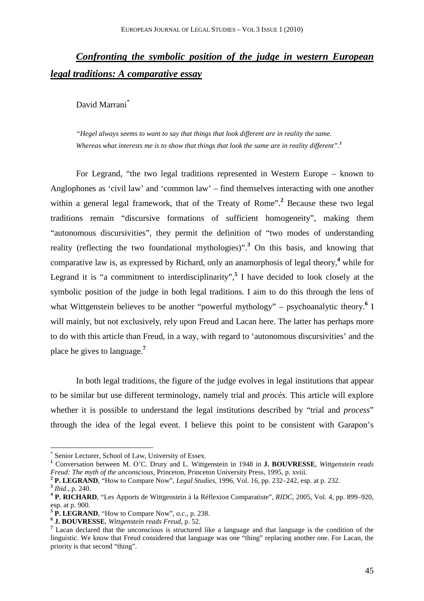# *Confronting the symbolic position of the judge in western European legal traditions: A comparative essay*

David Marrani\*

 *"Hegel always seems to want to say that things that look different are in reality the same. Whereas what interests me is to show that things that look the same are in reality different".<sup>1</sup>*

For Legrand, "the two legal traditions represented in Western Europe – known to Anglophones as 'civil law' and 'common law' – find themselves interacting with one another within a general legal framework, that of the Treaty of Rome".<sup>2</sup> Because these two legal traditions remain "discursive formations of sufficient homogeneity", making them "autonomous discursivities", they permit the definition of "two modes of understanding reality (reflecting the two foundational mythologies)".**<sup>3</sup>** On this basis, and knowing that comparative law is, as expressed by Richard, only an anamorphosis of legal theory,**<sup>4</sup>** while for Legrand it is "a commitment to interdisciplinarity", **5** I have decided to look closely at the symbolic position of the judge in both legal traditions. I aim to do this through the lens of what Wittgenstein believes to be another "powerful mythology" – psychoanalytic theory.<sup>6</sup> I will mainly, but not exclusively, rely upon Freud and Lacan here. The latter has perhaps more to do with this article than Freud, in a way, with regard to 'autonomous discursivities' and the place he gives to language.**<sup>7</sup>**

In both legal traditions, the figure of the judge evolves in legal institutions that appear to be similar but use different terminology, namely trial and *procès*. This article will explore whether it is possible to understand the legal institutions described by "trial and *process*" through the idea of the legal event. I believe this point to be consistent with Garapon's

<sup>\*</sup> Senior Lecturer, School of Law, University of Essex.

**<sup>1</sup>** Conversation between M. O'C. Drury and L. Wittgenstein in 1948 in **J. BOUVRESSE**, *Wittgenstein reads Freud: The myth of the unconscious*, Princeton, Princeton University Press, 1995, p. xviii.

**<sup>2</sup> P. LEGRAND**, "How to Compare Now", *Legal Studies*, 1996, Vol. 16, pp. 232–242, esp. at p. 232. **3** *Ibid*., p. 240.

**<sup>4</sup> P. RICHARD**, "Les Apports de Wittgenstein à la Réflexion Comparatiste", *RIDC*, 2005, Vol. 4, pp. 899–920, esp. at p. 900.

**<sup>5</sup> P. LEGRAND**, "How to Compare Now", *o.c*., p. 238.

**<sup>6</sup> J. BOUVRESSE**, *Wittgenstein reads Freud*, p. 52.

<sup>&</sup>lt;sup>7</sup> Lacan declared that the unconscious is structured like a language and that language is the condition of the linguistic. We know that Freud considered that language was one "thing" replacing another one. For Lacan, the priority is that second "thing".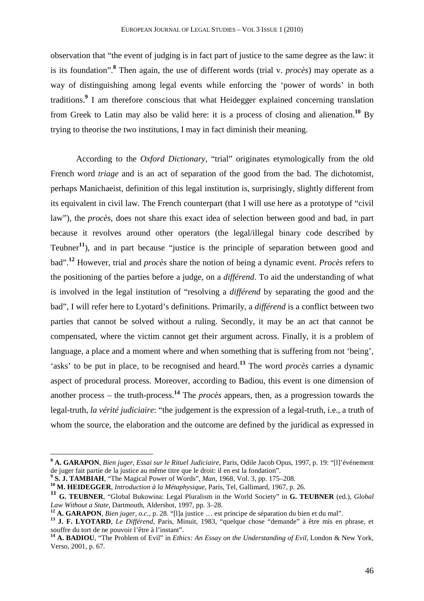observation that "the event of judging is in fact part of justice to the same degree as the law: it is its foundation".**<sup>8</sup>** Then again, the use of different words (trial v. *procès*) may operate as a way of distinguishing among legal events while enforcing the 'power of words' in both traditions.**<sup>9</sup>** I am therefore conscious that what Heidegger explained concerning translation from Greek to Latin may also be valid here: it is a process of closing and alienation.**<sup>10</sup>** By trying to theorise the two institutions, I may in fact diminish their meaning.

According to the *Oxford Dictionary*, "trial" originates etymologically from the old French word *triage* and is an act of separation of the good from the bad. The dichotomist, perhaps Manichaeist, definition of this legal institution is, surprisingly, slightly different from its equivalent in civil law. The French counterpart (that I will use here as a prototype of "civil law"), the *procès*, does not share this exact idea of selection between good and bad, in part because it revolves around other operators (the legal/illegal binary code described by Teubner**<sup>11</sup>**), and in part because "justice is the principle of separation between good and bad".**<sup>12</sup>** However, trial and *procès* share the notion of being a dynamic event. *Procès* refers to the positioning of the parties before a judge, on a *différend*. To aid the understanding of what is involved in the legal institution of "resolving a *différend* by separating the good and the bad", I will refer here to Lyotard's definitions. Primarily, a *différend* is a conflict between two parties that cannot be solved without a ruling. Secondly, it may be an act that cannot be compensated, where the victim cannot get their argument across. Finally, it is a problem of language, a place and a moment where and when something that is suffering from not 'being', 'asks' to be put in place, to be recognised and heard.**<sup>13</sup>** The word *procès* carries a dynamic aspect of procedural process. Moreover, according to Badiou, this event is one dimension of another process – the truth-process.**<sup>14</sup>** The *procès* appears, then, as a progression towards the legal-truth, *la vérité judiciaire*: "the judgement is the expression of a legal-truth, i.e., a truth of whom the source, the elaboration and the outcome are defined by the juridical as expressed in

**<sup>8</sup> A. GARAPON**, *Bien juger, Essai sur le Rituel Judiciaire*, Paris, Odile Jacob Opus, 1997, p. 19: "[l]'événement de juger fait partie de la justice au même titre que le droit: il en est la fondation".

**<sup>9</sup> S. J. TAMBIAH**, "The Magical Power of Words", *Man*, 1968, Vol. 3, pp. 175–208.

**<sup>10</sup> M. HEIDEGGER**, *Introduction à la Métaphysique*, Paris, Tel, Gallimard, 1967, p. 26.

**<sup>11</sup> G. TEUBNER**, "Global Bukowina: Legal Pluralism in the World Society" in **G. TEUBNER** (ed.), *Global Law Without a State*, Dartmouth, Aldershot, 1997, pp. 3–28.

**<sup>12</sup> A. GARAPON**, *Bien juger*, *o.c.*, p. 28. "[l]a justice … est principe de séparation du bien et du mal".

**<sup>13</sup> J. F. LYOTARD**, *Le Différend,* Paris, Minuit, 1983, "quelque chose "demande" à être mis en phrase, et souffre du tort de ne pouvoir l'être à l'instant".

**<sup>14</sup> A. BADIOU**, "The Problem of Evil" in *Ethics: An Essay on the Understanding of Evil*, London & New York, Verso, 2001, p. 67.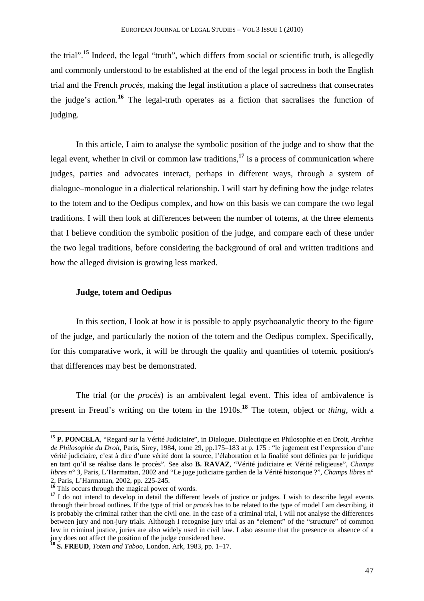the trial".**<sup>15</sup>** Indeed, the legal "truth", which differs from social or scientific truth, is allegedly and commonly understood to be established at the end of the legal process in both the English trial and the French *procès*, making the legal institution a place of sacredness that consecrates the judge's action.**<sup>16</sup>** The legal-truth operates as a fiction that sacralises the function of judging.

In this article, I aim to analyse the symbolic position of the judge and to show that the legal event, whether in civil or common law traditions,**<sup>17</sup>** is a process of communication where judges, parties and advocates interact, perhaps in different ways, through a system of dialogue–monologue in a dialectical relationship. I will start by defining how the judge relates to the totem and to the Oedipus complex, and how on this basis we can compare the two legal traditions. I will then look at differences between the number of totems, at the three elements that I believe condition the symbolic position of the judge, and compare each of these under the two legal traditions, before considering the background of oral and written traditions and how the alleged division is growing less marked.

### **Judge, totem and Oedipus**

In this section, I look at how it is possible to apply psychoanalytic theory to the figure of the judge, and particularly the notion of the totem and the Oedipus complex. Specifically, for this comparative work, it will be through the quality and quantities of totemic position/s that differences may best be demonstrated.

The trial (or the *procès*) is an ambivalent legal event. This idea of ambivalence is present in Freud's writing on the totem in the 1910s. **<sup>18</sup>** The totem, object or *thing*, with a

**<sup>15</sup> P. PONCELA**, "Regard sur la Vérité Judiciaire", in Dialogue, Dialectique en Philosophie et en Droit*, Archive de Philosophie du Droit*, Paris, Sirey, 1984, tome 29, pp.175–183 at p. 175 : "le jugement est l'expression d'une vérité judiciaire, c'est à dire d'une vérité dont la source, l'élaboration et la finalité sont définies par le juridique en tant qu'il se réalise dans le procès". See also **B. RAVAZ**, "Vérité judiciaire et Vérité religieuse", *Champs libres n° 3*, Paris, L'Harmattan, 2002 and "Le juge judiciaire gardien de la Vérité historique ?", *Champs libres* n° 2, Paris, L'Harmattan, 2002, pp. 225-245.

<sup>&</sup>lt;sup>16</sup> This occurs through the magical power of words.

<sup>&</sup>lt;sup>17</sup> I do not intend to develop in detail the different levels of justice or judges. I wish to describe legal events through their broad outlines. If the type of trial or *procés* has to be related to the type of model I am describing, it is probably the criminal rather than the civil one. In the case of a criminal trial, I will not analyse the differences between jury and non-jury trials. Although I recognise jury trial as an "element" of the "structure" of common law in criminal justice, juries are also widely used in civil law. I also assume that the presence or absence of a jury does not affect the position of the judge considered here.

**<sup>18</sup> S. FREUD**, *Totem and Taboo*, London, Ark, 1983, pp. 1–17.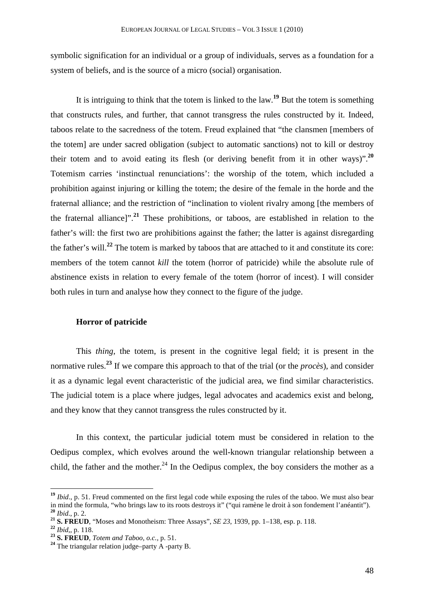symbolic signification for an individual or a group of individuals, serves as a foundation for a system of beliefs, and is the source of a micro (social) organisation.

It is intriguing to think that the totem is linked to the law.**<sup>19</sup>** But the totem is something that constructs rules, and further, that cannot transgress the rules constructed by it. Indeed, taboos relate to the sacredness of the totem. Freud explained that "the clansmen [members of the totem] are under sacred obligation (subject to automatic sanctions) not to kill or destroy their totem and to avoid eating its flesh (or deriving benefit from it in other ways)".**<sup>20</sup>** Totemism carries 'instinctual renunciations': the worship of the totem, which included a prohibition against injuring or killing the totem; the desire of the female in the horde and the fraternal alliance; and the restriction of "inclination to violent rivalry among [the members of the fraternal alliance]".**<sup>21</sup>** These prohibitions, or taboos, are established in relation to the father's will: the first two are prohibitions against the father; the latter is against disregarding the father's will.**<sup>22</sup>** The totem is marked by taboos that are attached to it and constitute its core: members of the totem cannot *kill* the totem (horror of patricide) while the absolute rule of abstinence exists in relation to every female of the totem (horror of incest). I will consider both rules in turn and analyse how they connect to the figure of the judge.

#### **Horror of patricide**

This *thing*, the totem, is present in the cognitive legal field; it is present in the normative rules.**<sup>23</sup>** If we compare this approach to that of the trial (or the *procès*), and consider it as a dynamic legal event characteristic of the judicial area, we find similar characteristics. The judicial totem is a place where judges, legal advocates and academics exist and belong, and they know that they cannot transgress the rules constructed by it.

In this context, the particular judicial totem must be considered in relation to the Oedipus complex, which evolves around the well-known triangular relationship between a child, the father and the mother.<sup>24</sup> In the Oedipus complex, the boy considers the mother as a

**<sup>19</sup>** *Ibid*., p. 51. Freud commented on the first legal code while exposing the rules of the taboo. We must also bear in mind the formula, "who brings law to its roots destroys it" ("qui ramène le droit à son fondement l'anéantit"). **<sup>20</sup>** *Ibid*., p. 2.

**<sup>21</sup> S. FREUD**, "Moses and Monotheism: Three Assays", *SE 23*, 1939, pp. 1–138, esp. p. 118.

**<sup>22</sup>** *Ibid*,, p. 118.

**<sup>23</sup> S. FREUD**, *Totem and Taboo, o.c.,* p. 51.

**<sup>24</sup>** The triangular relation judge–party A -party B.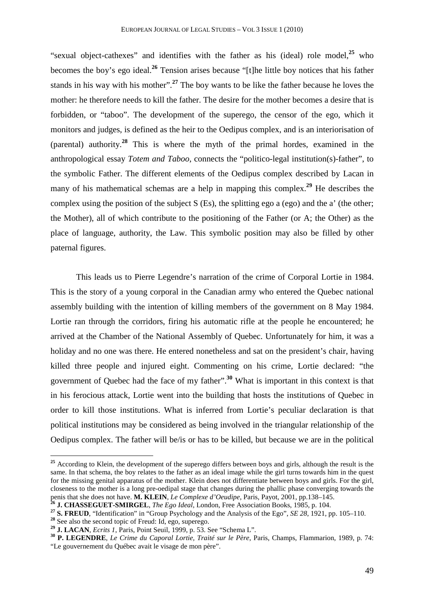"sexual object-cathexes" and identifies with the father as his (ideal) role model,**<sup>25</sup>** who becomes the boy's ego ideal.**<sup>26</sup>** Tension arises because "[t]he little boy notices that his father stands in his way with his mother".**<sup>27</sup>** The boy wants to be like the father because he loves the mother: he therefore needs to kill the father. The desire for the mother becomes a desire that is forbidden, or "taboo". The development of the superego, the censor of the ego, which it monitors and judges, is defined as the heir to the Oedipus complex, and is an interiorisation of (parental) authority.**<sup>28</sup>** This is where the myth of the primal hordes, examined in the anthropological essay *Totem and Taboo*, connects the "politico-legal institution(s)-father", to the symbolic Father. The different elements of the Oedipus complex described by Lacan in many of his mathematical schemas are a help in mapping this complex.**<sup>29</sup>** He describes the complex using the position of the subject S (Es), the splitting ego a (ego) and the a' (the other; the Mother), all of which contribute to the positioning of the Father (or A; the Other) as the place of language, authority, the Law. This symbolic position may also be filled by other paternal figures.

This leads us to Pierre Legendre's narration of the crime of Corporal Lortie in 1984. This is the story of a young corporal in the Canadian army who entered the Quebec national assembly building with the intention of killing members of the government on 8 May 1984. Lortie ran through the corridors, firing his automatic rifle at the people he encountered; he arrived at the Chamber of the National Assembly of Quebec. Unfortunately for him, it was a holiday and no one was there. He entered nonetheless and sat on the president's chair, having killed three people and injured eight. Commenting on his crime, Lortie declared: "the government of Quebec had the face of my father".**<sup>30</sup>** What is important in this context is that in his ferocious attack, Lortie went into the building that hosts the institutions of Quebec in order to kill those institutions. What is inferred from Lortie's peculiar declaration is that political institutions may be considered as being involved in the triangular relationship of the Oedipus complex. The father will be/is or has to be killed, but because we are in the political

<sup>&</sup>lt;sup>25</sup> According to Klein, the development of the superego differs between boys and girls, although the result is the same. In that schema, the boy relates to the father as an ideal image while the girl turns towards him in the quest for the missing genital apparatus of the mother. Klein does not differentiate between boys and girls. For the girl, closeness to the mother is a long pre-oedipal stage that changes during the phallic phase converging towards the penis that she does not have. **M. KLEIN**, *Le Complexe d'Oeudipe*, Paris, Payot, 2001, pp.138–145.

**<sup>26</sup> J. CHASSEGUET-SMIRGEL**, *The Ego Ideal*, London, Free Association Books, 1985, p. 104.

**<sup>27</sup> S. FREUD**, "Identification" in "Group Psychology and the Analysis of the Ego", *SE 28*, 1921, pp. 105–110.

**<sup>28</sup>** See also the second topic of Freud: Id, ego, superego.

**<sup>29</sup> J. LACAN**, *Ecrits 1*, Paris, Point Seuil, 1999, p. 53. See "Schema L".

**<sup>30</sup> P. LEGENDRE**, *Le Crime du Caporal Lortie, Traité sur le Père*, Paris, Champs, Flammarion, 1989, p. 74: "Le gouvernement du Québec avait le visage de mon père".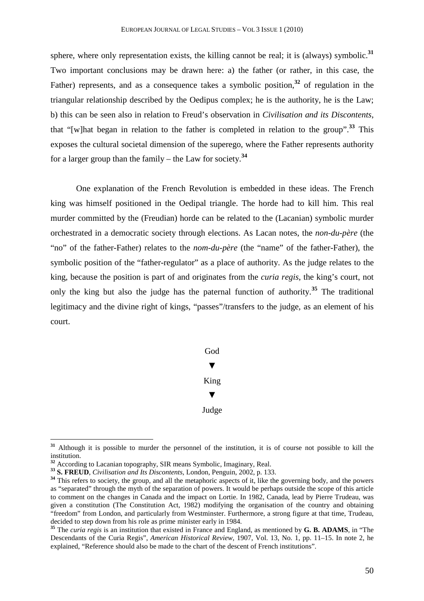sphere, where only representation exists, the killing cannot be real; it is (always) symbolic.**<sup>31</sup>** Two important conclusions may be drawn here: a) the father (or rather, in this case, the Father) represents, and as a consequence takes a symbolic position,<sup>32</sup> of regulation in the triangular relationship described by the Oedipus complex; he is the authority, he is the Law; b) this can be seen also in relation to Freud's observation in *Civilisation and its Discontents*, that "[w]hat began in relation to the father is completed in relation to the group".**<sup>33</sup>** This exposes the cultural societal dimension of the superego, where the Father represents authority for a larger group than the family – the Law for society.**<sup>34</sup>**

One explanation of the French Revolution is embedded in these ideas. The French king was himself positioned in the Oedipal triangle. The horde had to kill him. This real murder committed by the (Freudian) horde can be related to the (Lacanian) symbolic murder orchestrated in a democratic society through elections. As Lacan notes, the *non-du-père* (the "no" of the father-Father) relates to the *nom-du-père* (the "name" of the father-Father), the symbolic position of the "father-regulator" as a place of authority. As the judge relates to the king, because the position is part of and originates from the *curia regis*, the king's court, not only the king but also the judge has the paternal function of authority.**<sup>35</sup>** The traditional legitimacy and the divine right of kings, "passes"/transfers to the judge, as an element of his court.

# God ▼ King ▼ Judge

**<sup>31</sup>** Although it is possible to murder the personnel of the institution, it is of course not possible to kill the institution.

**<sup>32</sup>** According to Lacanian topography, SIR means Symbolic, Imaginary, Real.

**<sup>33</sup> S. FREUD**, *Civilisation and Its Discontents*, London, Penguin, 2002, p. 133.

<sup>&</sup>lt;sup>34</sup> This refers to society, the group, and all the metaphoric aspects of it, like the governing body, and the powers as "separated" through the myth of the separation of powers. It would be perhaps outside the scope of this article to comment on the changes in Canada and the impact on Lortie. In 1982, Canada, lead by Pierre Trudeau, was given a constitution (The Constitution Act, 1982) modifying the organisation of the country and obtaining "freedom" from London, and particularly from Westminster. Furthermore, a strong figure at that time, Trudeau, decided to step down from his role as prime minister early in 1984.

**<sup>35</sup>** The *curia regis* is an institution that existed in France and England, as mentioned by **G. B. ADAMS**, in "The Descendants of the Curia Regis", *American Historical Review*, 1907, Vol. 13, No. 1, pp. 11–15. In note 2, he explained, "Reference should also be made to the chart of the descent of French institutions".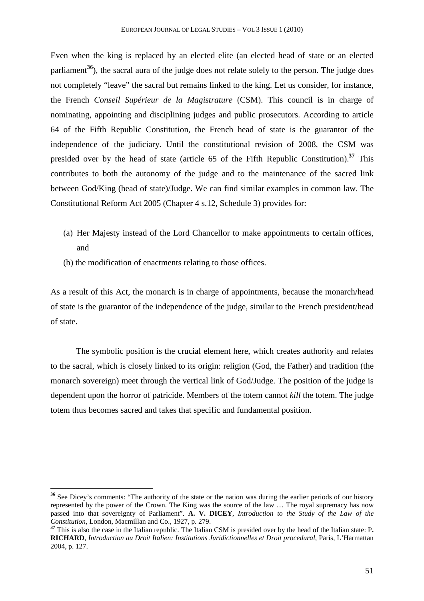Even when the king is replaced by an elected elite (an elected head of state or an elected parliament<sup>36</sup>), the sacral aura of the judge does not relate solely to the person. The judge does not completely "leave" the sacral but remains linked to the king. Let us consider, for instance, the French *Conseil Supérieur de la Magistrature* (CSM). This council is in charge of nominating, appointing and disciplining judges and public prosecutors. According to article 64 of the Fifth Republic Constitution, the French head of state is the guarantor of the independence of the judiciary. Until the constitutional revision of 2008, the CSM was presided over by the head of state (article 65 of the Fifth Republic Constitution).**<sup>37</sup>** This contributes to both the autonomy of the judge and to the maintenance of the sacred link between God/King (head of state)/Judge. We can find similar examples in common law. The Constitutional Reform Act 2005 (Chapter 4 s.12, Schedule 3) provides for:

- (a) Her Majesty instead of the Lord Chancellor to make appointments to certain offices, and
- (b) the modification of enactments relating to those offices.

 $\overline{a}$ 

As a result of this Act, the monarch is in charge of appointments, because the monarch/head of state is the guarantor of the independence of the judge, similar to the French president/head of state.

The symbolic position is the crucial element here, which creates authority and relates to the sacral, which is closely linked to its origin: religion (God, the Father) and tradition (the monarch sovereign) meet through the vertical link of God/Judge. The position of the judge is dependent upon the horror of patricide. Members of the totem cannot *kill* the totem. The judge totem thus becomes sacred and takes that specific and fundamental position.

**<sup>36</sup>** See Dicey's comments: "The authority of the state or the nation was during the earlier periods of our history represented by the power of the Crown. The King was the source of the law … The royal supremacy has now passed into that sovereignty of Parliament". **A. V. DICEY**, *Introduction to the Study of the Law of the Constitution*, London, Macmillan and Co., 1927, p. 279.

**<sup>37</sup>** This is also the case in the Italian republic. The Italian CSM is presided over by the head of the Italian state: P**. RICHARD**, *Introduction au Droit Italien: Institutions Juridictionnelles et Droit procedural*, Paris, L'Harmattan 2004, p. 127.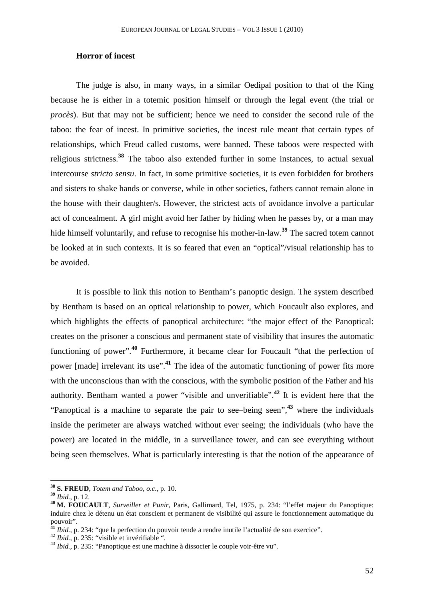## **Horror of incest**

The judge is also, in many ways, in a similar Oedipal position to that of the King because he is either in a totemic position himself or through the legal event (the trial or *procès*). But that may not be sufficient; hence we need to consider the second rule of the taboo: the fear of incest. In primitive societies, the incest rule meant that certain types of relationships, which Freud called customs, were banned. These taboos were respected with religious strictness.**<sup>38</sup>** The taboo also extended further in some instances, to actual sexual intercourse *stricto sensu*. In fact, in some primitive societies, it is even forbidden for brothers and sisters to shake hands or converse, while in other societies, fathers cannot remain alone in the house with their daughter/s. However, the strictest acts of avoidance involve a particular act of concealment. A girl might avoid her father by hiding when he passes by, or a man may hide himself voluntarily, and refuse to recognise his mother-in-law.**<sup>39</sup>** The sacred totem cannot be looked at in such contexts. It is so feared that even an "optical"/visual relationship has to be avoided.

It is possible to link this notion to Bentham's panoptic design. The system described by Bentham is based on an optical relationship to power, which Foucault also explores, and which highlights the effects of panoptical architecture: "the major effect of the Panoptical: creates on the prisoner a conscious and permanent state of visibility that insures the automatic functioning of power".**<sup>40</sup>** Furthermore, it became clear for Foucault "that the perfection of power [made] irrelevant its use".**<sup>41</sup>** The idea of the automatic functioning of power fits more with the unconscious than with the conscious, with the symbolic position of the Father and his authority. Bentham wanted a power "visible and unverifiable".**<sup>42</sup>** It is evident here that the "Panoptical is a machine to separate the pair to see–being seen",**<sup>43</sup>** where the individuals inside the perimeter are always watched without ever seeing; the individuals (who have the power) are located in the middle, in a surveillance tower, and can see everything without being seen themselves. What is particularly interesting is that the notion of the appearance of

**<sup>38</sup> S. FREUD**, *Totem and Taboo*, *o.c.*, p. 10.

**<sup>39</sup>** *Ibid.*, p. 12.

**<sup>40</sup> M. FOUCAULT**, *Surveiller et Punir*, Paris, Gallimard, Tel, 1975, p. 234: "l'effet majeur du Panoptique: induire chez le détenu un état conscient et permanent de visibilité qui assure le fonctionnement automatique du pouvoir".

**<sup>41</sup>** *Ibid.*, p. 234: "que la perfection du pouvoir tende a rendre inutile l'actualité de son exercice".

<sup>42</sup> *Ibid.*, p. 235: "visible et invérifiable".

<sup>43</sup> *Ibid.*, p. 235: "Panoptique est une machine à dissocier le couple voir-être vu".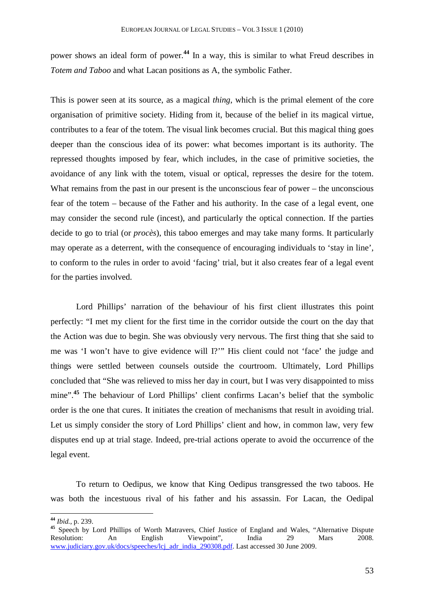power shows an ideal form of power.**<sup>44</sup>** In a way, this is similar to what Freud describes in *Totem and Taboo* and what Lacan positions as A, the symbolic Father.

This is power seen at its source, as a magical *thing*, which is the primal element of the core organisation of primitive society. Hiding from it, because of the belief in its magical virtue, contributes to a fear of the totem. The visual link becomes crucial. But this magical thing goes deeper than the conscious idea of its power: what becomes important is its authority. The repressed thoughts imposed by fear, which includes, in the case of primitive societies, the avoidance of any link with the totem, visual or optical, represses the desire for the totem. What remains from the past in our present is the unconscious fear of power – the unconscious fear of the totem – because of the Father and his authority. In the case of a legal event, one may consider the second rule (incest), and particularly the optical connection. If the parties decide to go to trial (or *procès*), this taboo emerges and may take many forms. It particularly may operate as a deterrent, with the consequence of encouraging individuals to 'stay in line', to conform to the rules in order to avoid 'facing' trial, but it also creates fear of a legal event for the parties involved.

Lord Phillips' narration of the behaviour of his first client illustrates this point perfectly: "I met my client for the first time in the corridor outside the court on the day that the Action was due to begin. She was obviously very nervous. The first thing that she said to me was 'I won't have to give evidence will I?'" His client could not 'face' the judge and things were settled between counsels outside the courtroom. Ultimately, Lord Phillips concluded that "She was relieved to miss her day in court, but I was very disappointed to miss mine".<sup>45</sup> The behaviour of Lord Phillips' client confirms Lacan's belief that the symbolic order is the one that cures. It initiates the creation of mechanisms that result in avoiding trial. Let us simply consider the story of Lord Phillips' client and how, in common law, very few disputes end up at trial stage. Indeed, pre-trial actions operate to avoid the occurrence of the legal event.

To return to Oedipus, we know that King Oedipus transgressed the two taboos. He was both the incestuous rival of his father and his assassin. For Lacan, the Oedipal

**<sup>44</sup>** *Ibid.*, p. 239.

As Speech by Lord Phillips of Worth Matravers, Chief Justice of England and Wales, "Alternative Dispute Resolution: An English Viewpoint", India 29 Mars 2008. Resolution: An English Viewpoint", India 29 Mars 2008. www.judiciary.gov.uk/docs/speeches/lcj\_adr\_india\_290308.pdf. Last accessed 30 June 2009.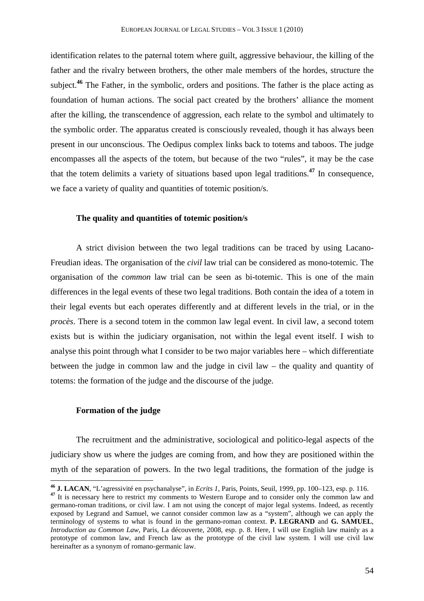identification relates to the paternal totem where guilt, aggressive behaviour, the killing of the father and the rivalry between brothers, the other male members of the hordes, structure the subject.**<sup>46</sup>** The Father, in the symbolic, orders and positions. The father is the place acting as foundation of human actions. The social pact created by the brothers' alliance the moment after the killing, the transcendence of aggression, each relate to the symbol and ultimately to the symbolic order. The apparatus created is consciously revealed, though it has always been present in our unconscious. The Oedipus complex links back to totems and taboos. The judge encompasses all the aspects of the totem, but because of the two "rules", it may be the case that the totem delimits a variety of situations based upon legal traditions.**<sup>47</sup>** In consequence, we face a variety of quality and quantities of totemic position/s.

#### **The quality and quantities of totemic position/s**

A strict division between the two legal traditions can be traced by using Lacano-Freudian ideas. The organisation of the *civil* law trial can be considered as mono-totemic. The organisation of the *common* law trial can be seen as bi-totemic. This is one of the main differences in the legal events of these two legal traditions. Both contain the idea of a totem in their legal events but each operates differently and at different levels in the trial, or in the *procès*. There is a second totem in the common law legal event. In civil law, a second totem exists but is within the judiciary organisation, not within the legal event itself. I wish to analyse this point through what I consider to be two major variables here – which differentiate between the judge in common law and the judge in civil law – the quality and quantity of totems: the formation of the judge and the discourse of the judge.

## **Formation of the judge**

 $\overline{a}$ 

The recruitment and the administrative, sociological and politico-legal aspects of the judiciary show us where the judges are coming from, and how they are positioned within the myth of the separation of powers. In the two legal traditions, the formation of the judge is

**<sup>46</sup> J. LACAN**, "L'agressivité en psychanalyse", in *Ecrits 1*, Paris, Points, Seuil, 1999, pp. 100–123, esp. p. 116.

<sup>&</sup>lt;sup>47</sup> It is necessary here to restrict my comments to Western Europe and to consider only the common law and germano-roman traditions, or civil law. I am not using the concept of major legal systems. Indeed, as recently exposed by Legrand and Samuel, we cannot consider common law as a "system", although we can apply the terminology of systems to what is found in the germano-roman context. **P. LEGRAND** and **G. SAMUEL**, *Introduction au Common Law*, Paris, La découverte, 2008, esp. p. 8. Here, I will use English law mainly as a prototype of common law, and French law as the prototype of the civil law system. I will use civil law hereinafter as a synonym of romano-germanic law.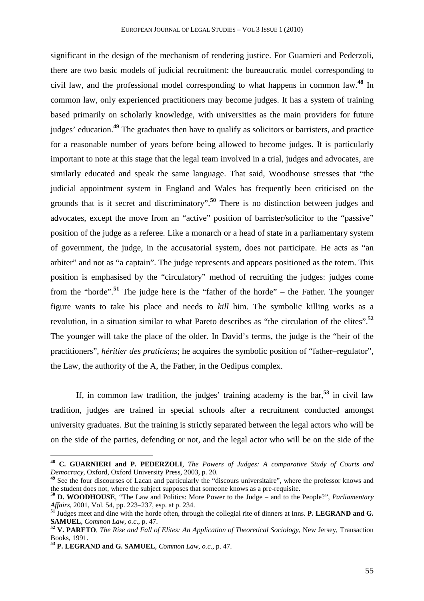significant in the design of the mechanism of rendering justice. For Guarnieri and Pederzoli, there are two basic models of judicial recruitment: the bureaucratic model corresponding to civil law, and the professional model corresponding to what happens in common law.**<sup>48</sup>** In common law, only experienced practitioners may become judges. It has a system of training based primarily on scholarly knowledge, with universities as the main providers for future judges' education.**<sup>49</sup>** The graduates then have to qualify as solicitors or barristers, and practice for a reasonable number of years before being allowed to become judges. It is particularly important to note at this stage that the legal team involved in a trial, judges and advocates, are similarly educated and speak the same language. That said, Woodhouse stresses that "the judicial appointment system in England and Wales has frequently been criticised on the grounds that is it secret and discriminatory".**<sup>50</sup>** There is no distinction between judges and advocates, except the move from an "active" position of barrister/solicitor to the "passive" position of the judge as a referee. Like a monarch or a head of state in a parliamentary system of government, the judge, in the accusatorial system, does not participate. He acts as "an arbiter" and not as "a captain". The judge represents and appears positioned as the totem. This position is emphasised by the "circulatory" method of recruiting the judges: judges come from the "horde".**<sup>51</sup>** The judge here is the "father of the horde" – the Father. The younger figure wants to take his place and needs to *kill* him. The symbolic killing works as a revolution, in a situation similar to what Pareto describes as "the circulation of the elites".**<sup>52</sup>** The younger will take the place of the older. In David's terms, the judge is the "heir of the practitioners", *héritier des praticiens*; he acquires the symbolic position of "father–regulator", the Law, the authority of the A, the Father, in the Oedipus complex.

If, in common law tradition, the judges' training academy is the bar,**<sup>53</sup>** in civil law tradition, judges are trained in special schools after a recruitment conducted amongst university graduates. But the training is strictly separated between the legal actors who will be on the side of the parties, defending or not, and the legal actor who will be on the side of the

**<sup>48</sup> C. GUARNIERI and P. PEDERZOLI**, *The Powers of Judges: A comparative Study of Courts and Democracy*, Oxford, Oxford University Press, 2003, p. 20.

<sup>&</sup>lt;sup>49</sup> See the four discourses of Lacan and particularly the "discours universitaire", where the professor knows and the student does not, where the subject supposes that someone knows as a pre-requisite.

**<sup>50</sup> D. WOODHOUSE**, "The Law and Politics: More Power to the Judge – and to the People?", *Parliamentary Affairs*, 2001, Vol. 54, pp. 223–237, esp. at p. 234.

**<sup>51</sup>** Judges meet and dine with the horde often, through the collegial rite of dinners at Inns. **P. LEGRAND and G. SAMUEL**, *Common Law*, *o.c*., p. 47.

**<sup>52</sup> V. PARETO**, *The Rise and Fall of Elites: An Application of Theoretical Sociology*, New Jersey, Transaction Books, 1991.

**<sup>53</sup> P. LEGRAND and G. SAMUEL**, *Common Law*, *o.c*., p. 47.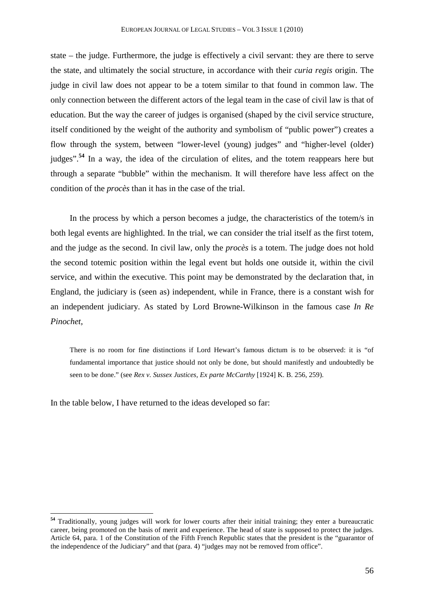state – the judge. Furthermore, the judge is effectively a civil servant: they are there to serve the state, and ultimately the social structure, in accordance with their *curia regis* origin. The judge in civil law does not appear to be a totem similar to that found in common law. The only connection between the different actors of the legal team in the case of civil law is that of education. But the way the career of judges is organised (shaped by the civil service structure, itself conditioned by the weight of the authority and symbolism of "public power") creates a flow through the system, between "lower-level (young) judges" and "higher-level (older) judges".**<sup>54</sup>** In a way, the idea of the circulation of elites, and the totem reappears here but through a separate "bubble" within the mechanism. It will therefore have less affect on the condition of the *procès* than it has in the case of the trial.

In the process by which a person becomes a judge, the characteristics of the totem/s in both legal events are highlighted. In the trial, we can consider the trial itself as the first totem, and the judge as the second. In civil law, only the *procès* is a totem. The judge does not hold the second totemic position within the legal event but holds one outside it, within the civil service, and within the executive. This point may be demonstrated by the declaration that, in England, the judiciary is (seen as) independent, while in France, there is a constant wish for an independent judiciary. As stated by Lord Browne-Wilkinson in the famous case *In Re Pinochet*,

There is no room for fine distinctions if Lord Hewart's famous dictum is to be observed: it is "of fundamental importance that justice should not only be done, but should manifestly and undoubtedly be seen to be done." (see *Rex v. Sussex Justices, Ex parte McCarthy* [1924] K. B. 256, 259).

In the table below, I have returned to the ideas developed so far:

**<sup>54</sup>** Traditionally, young judges will work for lower courts after their initial training; they enter a bureaucratic career, being promoted on the basis of merit and experience. The head of state is supposed to protect the judges. Article 64, para. 1 of the Constitution of the Fifth French Republic states that the president is the "guarantor of the independence of the Judiciary" and that (para. 4) "judges may not be removed from office".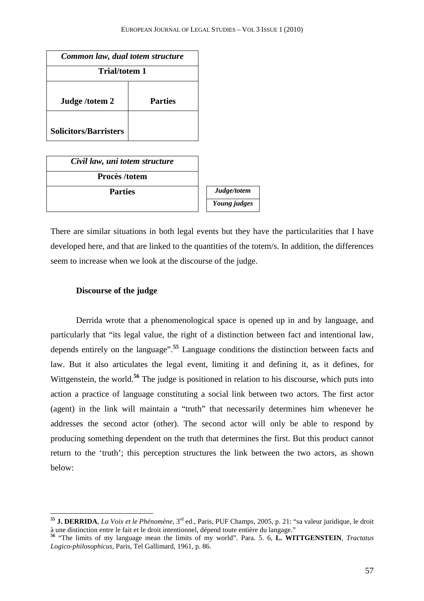| Common law, dual totem structure |                |  |  |  |
|----------------------------------|----------------|--|--|--|
| <b>Trial/totem 1</b>             |                |  |  |  |
|                                  |                |  |  |  |
| Judge/totem 2                    | <b>Parties</b> |  |  |  |
|                                  |                |  |  |  |
| <b>Solicitors/Barristers</b>     |                |  |  |  |

*Civil law, uni totem structure*  **Procès /totem Parties** *Judge/totem Young judges* 

There are similar situations in both legal events but they have the particularities that I have developed here, and that are linked to the quantities of the totem/s. In addition, the differences seem to increase when we look at the discourse of the judge.

## **Discourse of the judge**

 $\overline{a}$ 

Derrida wrote that a phenomenological space is opened up in and by language, and particularly that "its legal value, the right of a distinction between fact and intentional law, depends entirely on the language".**<sup>55</sup>** Language conditions the distinction between facts and law. But it also articulates the legal event, limiting it and defining it, as it defines, for Wittgenstein, the world.<sup>56</sup> The judge is positioned in relation to his discourse, which puts into action a practice of language constituting a social link between two actors. The first actor (agent) in the link will maintain a "truth" that necessarily determines him whenever he addresses the second actor (other). The second actor will only be able to respond by producing something dependent on the truth that determines the first. But this product cannot return to the 'truth'; this perception structures the link between the two actors, as shown below:

**<sup>55</sup> J. DERRIDA**, *La Voix et le Phénomène*, 3rd ed., Paris, PUF Champs, 2005, p. 21: "sa valeur juridique, le droit à une distinction entre le fait et le droit intentionnel, dépend toute entière du langage."

**<sup>56</sup>** "The limits of my language mean the limits of my world". Para. 5. 6, **L. WITTGENSTEIN**, *Tractatus Logico-philosophicus*, Paris, Tel Gallimard, 1961, p. 86.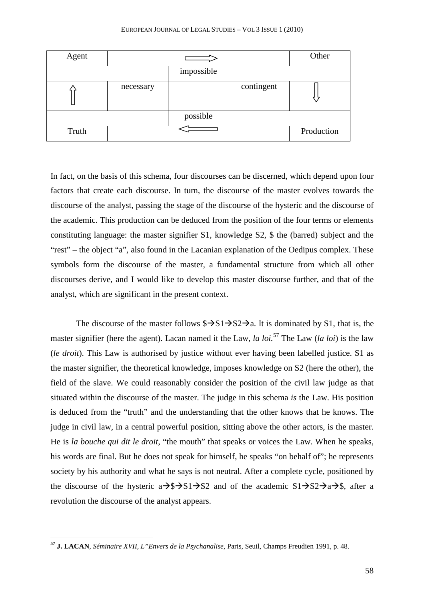| Agent |           |            |            | Other      |
|-------|-----------|------------|------------|------------|
|       |           | impossible |            |            |
|       | necessary |            | contingent |            |
|       |           | possible   |            |            |
| Truth |           |            |            | Production |

In fact, on the basis of this schema, four discourses can be discerned, which depend upon four factors that create each discourse. In turn, the discourse of the master evolves towards the discourse of the analyst, passing the stage of the discourse of the hysteric and the discourse of the academic. This production can be deduced from the position of the four terms or elements constituting language: the master signifier S1, knowledge S2, \$ the (barred) subject and the "rest" – the object "a", also found in the Lacanian explanation of the Oedipus complex. These symbols form the discourse of the master, a fundamental structure from which all other discourses derive, and I would like to develop this master discourse further, and that of the analyst, which are significant in the present context.

The discourse of the master follows  $\frac{1}{2}$ S1 $\rightarrow$ S2 $\rightarrow$ a. It is dominated by S1, that is, the master signifier (here the agent). Lacan named it the Law, *la loi.*<sup>57</sup> The Law (*la loi*) is the law (*le droit*). This Law is authorised by justice without ever having been labelled justice. S1 as the master signifier, the theoretical knowledge, imposes knowledge on S2 (here the other), the field of the slave. We could reasonably consider the position of the civil law judge as that situated within the discourse of the master. The judge in this schema *is* the Law. His position is deduced from the "truth" and the understanding that the other knows that he knows. The judge in civil law, in a central powerful position, sitting above the other actors, is the master. He is *la bouche qui dit le droit*, "the mouth" that speaks or voices the Law. When he speaks, his words are final. But he does not speak for himself, he speaks "on behalf of"; he represents society by his authority and what he says is not neutral. After a complete cycle, positioned by the discourse of the hysteric  $a\rightarrow 0$   $s\rightarrow$  S1 $\rightarrow$  S2 and of the academic S1 $\rightarrow$  S2 $\rightarrow$  a $\rightarrow$  \$, after a revolution the discourse of the analyst appears.

**<sup>57</sup> J. LACAN**, *Séminaire XVII, L"Envers de la Psychanalise*, Paris, Seuil, Champs Freudien 1991, p. 48.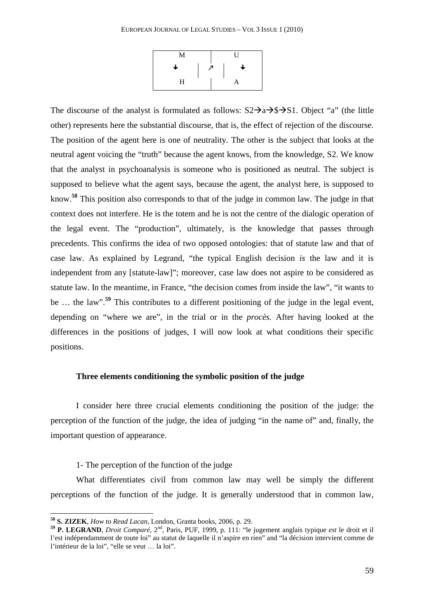| M |   | U |  |
|---|---|---|--|
| ┶ | 7 | ┶ |  |
| H |   | A |  |

The discourse of the analyst is formulated as follows:  $S2\rightarrow a\rightarrow s\rightarrow S1$ . Object "a" (the little other) represents here the substantial discourse, that is, the effect of rejection of the discourse. The position of the agent here is one of neutrality. The other is the subject that looks at the neutral agent voicing the "truth" because the agent knows, from the knowledge, S2. We know that the analyst in psychoanalysis is someone who is positioned as neutral. The subject is supposed to believe what the agent says, because the agent, the analyst here, is supposed to know.**<sup>58</sup>** This position also corresponds to that of the judge in common law. The judge in that context does not interfere. He is the totem and he is not the centre of the dialogic operation of the legal event. The "production", ultimately, is the knowledge that passes through precedents. This confirms the idea of two opposed ontologies: that of statute law and that of case law. As explained by Legrand, "the typical English decision *is* the law and it is independent from any [statute-law]"; moreover, case law does not aspire to be considered as statute law. In the meantime, in France, "the decision comes from inside the law", "it wants to be … the law".**<sup>59</sup>** This contributes to a different positioning of the judge in the legal event, depending on "where we are", in the trial or in the *procès.* After having looked at the differences in the positions of judges, I will now look at what conditions their specific positions.

### **Three elements conditioning the symbolic position of the judge**

I consider here three crucial elements conditioning the position of the judge: the perception of the function of the judge, the idea of judging "in the name of" and, finally, the important question of appearance.

1- The perception of the function of the judge

What differentiates civil from common law may well be simply the different perceptions of the function of the judge. It is generally understood that in common law,

**<sup>58</sup> S. ZIZEK**, *How to Read Lacan*, London, Granta books, 2006, p. 29.

**<sup>59</sup> P. LEGRAND**, *Droit Comparé*, 2nd, Paris, PUF, 1999, p. 111: "le jugement anglais typique *est* le droit et il l'est indépendamment de toute loi" au statut de laquelle il n'aspire en rien" and "la décision intervient comme de l'intérieur de la loi", "elle se veut … la loi".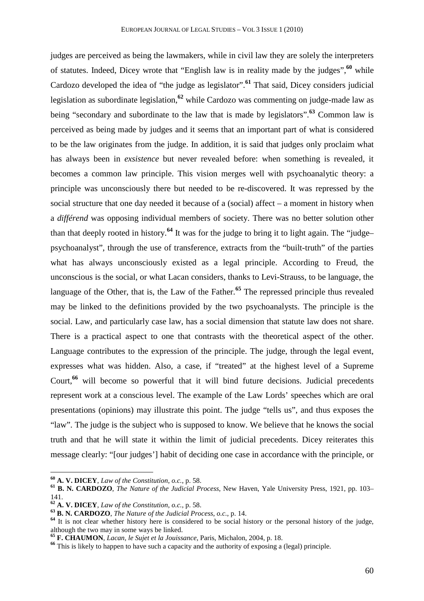judges are perceived as being the lawmakers, while in civil law they are solely the interpreters of statutes. Indeed, Dicey wrote that "English law is in reality made by the judges",**<sup>60</sup>** while Cardozo developed the idea of "the judge as legislator".**<sup>61</sup>** That said, Dicey considers judicial legislation as subordinate legislation,**<sup>62</sup>** while Cardozo was commenting on judge-made law as being "secondary and subordinate to the law that is made by legislators".**<sup>63</sup>** Common law is perceived as being made by judges and it seems that an important part of what is considered to be the law originates from the judge. In addition, it is said that judges only proclaim what has always been in *exsistence* but never revealed before: when something is revealed, it becomes a common law principle. This vision merges well with psychoanalytic theory: a principle was unconsciously there but needed to be re-discovered. It was repressed by the social structure that one day needed it because of a (social) affect – a moment in history when a *différend* was opposing individual members of society. There was no better solution other than that deeply rooted in history.**<sup>64</sup>** It was for the judge to bring it to light again. The "judge– psychoanalyst", through the use of transference, extracts from the "built-truth" of the parties what has always unconsciously existed as a legal principle. According to Freud, the unconscious is the social, or what Lacan considers, thanks to Levi-Strauss, to be language, the language of the Other, that is, the Law of the Father.<sup>65</sup> The repressed principle thus revealed may be linked to the definitions provided by the two psychoanalysts. The principle is the social. Law, and particularly case law, has a social dimension that statute law does not share. There is a practical aspect to one that contrasts with the theoretical aspect of the other. Language contributes to the expression of the principle. The judge, through the legal event, expresses what was hidden. Also, a case, if "treated" at the highest level of a Supreme Court,**<sup>66</sup>** will become so powerful that it will bind future decisions. Judicial precedents represent work at a conscious level. The example of the Law Lords' speeches which are oral presentations (opinions) may illustrate this point. The judge "tells us", and thus exposes the "law". The judge is the subject who is supposed to know. We believe that he knows the social truth and that he will state it within the limit of judicial precedents. Dicey reiterates this message clearly: "[our judges'] habit of deciding one case in accordance with the principle, or

**<sup>60</sup> A. V. DICEY**, *Law of the Constitution*, *o.c.*, p. 58.

**<sup>61</sup> B. N. CARDOZO**, *The Nature of the Judicial Process*, New Haven, Yale University Press, 1921, pp. 103– 141.

**<sup>62</sup> A. V. DICEY**, *Law of the Constitution*, *o.c.*, p. 58.

**<sup>63</sup> B. N. CARDOZO**, *The Nature of the Judicial Process*, *o.c.*, p. 14.

**<sup>64</sup>** It is not clear whether history here is considered to be social history or the personal history of the judge, although the two may in some ways be linked.

**<sup>65</sup> F. CHAUMON**, *Lacan, le Sujet et la Jouissance*, Paris, Michalon, 2004, p. 18.

**<sup>66</sup>** This is likely to happen to have such a capacity and the authority of exposing a (legal) principle.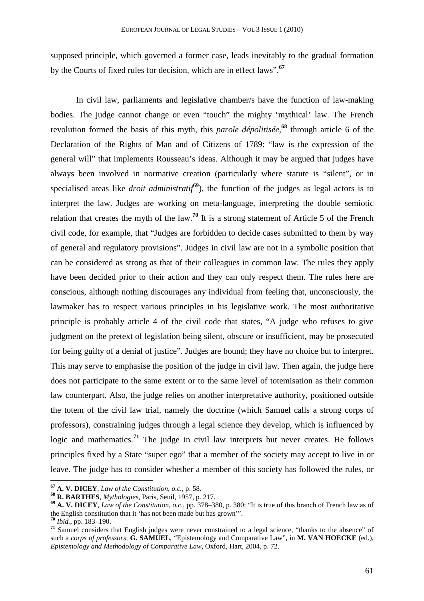supposed principle, which governed a former case, leads inevitably to the gradual formation by the Courts of fixed rules for decision, which are in effect laws".**<sup>67</sup>**

In civil law, parliaments and legislative chamber/s have the function of law-making bodies. The judge cannot change or even "touch" the mighty 'mythical' law. The French revolution formed the basis of this myth, this *parole dépolitisée*, **<sup>68</sup>** through article 6 of the Declaration of the Rights of Man and of Citizens of 1789: "law is the expression of the general will" that implements Rousseau's ideas. Although it may be argued that judges have always been involved in normative creation (particularly where statute is "silent", or in specialised areas like *droit administratif***<sup>69</sup>**), the function of the judges as legal actors is to interpret the law. Judges are working on meta-language, interpreting the double semiotic relation that creates the myth of the law.**<sup>70</sup>** It is a strong statement of Article 5 of the French civil code, for example, that "Judges are forbidden to decide cases submitted to them by way of general and regulatory provisions". Judges in civil law are not in a symbolic position that can be considered as strong as that of their colleagues in common law. The rules they apply have been decided prior to their action and they can only respect them. The rules here are conscious, although nothing discourages any individual from feeling that, unconsciously, the lawmaker has to respect various principles in his legislative work. The most authoritative principle is probably article 4 of the civil code that states, "A judge who refuses to give judgment on the pretext of legislation being silent, obscure or insufficient, may be prosecuted for being guilty of a denial of justice". Judges are bound; they have no choice but to interpret. This may serve to emphasise the position of the judge in civil law. Then again, the judge here does not participate to the same extent or to the same level of totemisation as their common law counterpart. Also, the judge relies on another interpretative authority, positioned outside the totem of the civil law trial, namely the doctrine (which Samuel calls a strong corps of professors), constraining judges through a legal science they develop, which is influenced by logic and mathematics.<sup>71</sup> The judge in civil law interprets but never creates. He follows principles fixed by a State "super ego" that a member of the society may accept to live in or leave. The judge has to consider whether a member of this society has followed the rules, or

**<sup>67</sup> A. V. DICEY**, *Law of the Constitution*, *o.c.*, p. 58.

**<sup>68</sup> R. BARTHES**, *Mythologies*, Paris, Seuil, 1957, p. 217.

**<sup>69</sup> A. V. DICEY**, *Law of the Constitution*, *o.c.*, pp. 378–380, p. 380: "It is true of this branch of French law as of the English constitution that it 'has not been made but has grown'".

**<sup>70</sup>** *Ibid.*, pp. 183–190.

**<sup>71</sup>** Samuel considers that English judges were never constrained to a legal science, "thanks to the absence" of such a *corps of professors*: **G. SAMUEL**, "Epistemology and Comparative Law", in **M. VAN HOECKE** (ed.), *Epistemology and Methodology of Comparative Law*, Oxford, Hart, 2004, p. 72.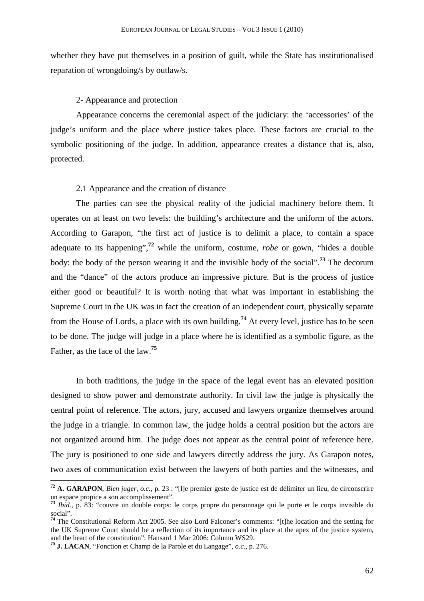whether they have put themselves in a position of guilt, while the State has institutionalised reparation of wrongdoing/s by outlaw/s.

## 2- Appearance and protection

Appearance concerns the ceremonial aspect of the judiciary: the 'accessories' of the judge's uniform and the place where justice takes place. These factors are crucial to the symbolic positioning of the judge. In addition, appearance creates a distance that is, also, protected.

## 2.1 Appearance and the creation of distance

The parties can see the physical reality of the judicial machinery before them. It operates on at least on two levels: the building's architecture and the uniform of the actors. According to Garapon, "the first act of justice is to delimit a place, to contain a space adequate to its happening",**<sup>72</sup>** while the uniform, costume, *robe* or gown, "hides a double body: the body of the person wearing it and the invisible body of the social".**<sup>73</sup>** The decorum and the "dance" of the actors produce an impressive picture. But is the process of justice either good or beautiful? It is worth noting that what was important in establishing the Supreme Court in the UK was in fact the creation of an independent court, physically separate from the House of Lords, a place with its own building.**<sup>74</sup>** At every level, justice has to be seen to be done. The judge will judge in a place where he is identified as a symbolic figure, as the Father, as the face of the law.**<sup>75</sup>**

In both traditions, the judge in the space of the legal event has an elevated position designed to show power and demonstrate authority. In civil law the judge is physically the central point of reference. The actors, jury, accused and lawyers organize themselves around the judge in a triangle. In common law, the judge holds a central position but the actors are not organized around him. The judge does not appear as the central point of reference here. The jury is positioned to one side and lawyers directly address the jury. As Garapon notes, two axes of communication exist between the lawyers of both parties and the witnesses, and

**<sup>72</sup> A. GARAPON**, *Bien juger, o.c.,* p. 23 : "[l]e premier geste de justice est de délimiter un lieu, de circonscrire un espace propice a son accomplissement".

**<sup>73</sup>** *Ibid.*, p. 83: "couvre un double corps: le corps propre du personnage qui le porte et le corps invisible du social".

**<sup>74</sup>** The Constitutional Reform Act 2005. See also Lord Falconer's comments: "[t]he location and the setting for the UK Supreme Court should be a reflection of its importance and its place at the apex of the justice system, and the heart of the constitution": Hansard 1 Mar 2006: Column WS29.

**<sup>75</sup> J. LACAN**, "Fonction et Champ de la Parole et du Langage", *o.c.*, p. 276.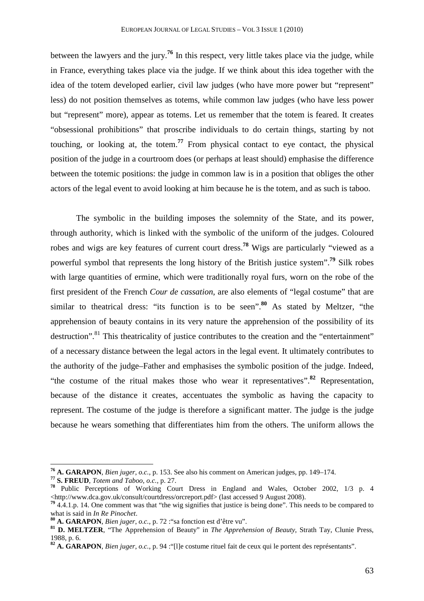between the lawyers and the jury.**<sup>76</sup>** In this respect, very little takes place via the judge, while in France, everything takes place via the judge. If we think about this idea together with the idea of the totem developed earlier, civil law judges (who have more power but "represent" less) do not position themselves as totems, while common law judges (who have less power but "represent" more), appear as totems. Let us remember that the totem is feared. It creates "obsessional prohibitions" that proscribe individuals to do certain things, starting by not touching, or looking at, the totem.**<sup>77</sup>** From physical contact to eye contact, the physical position of the judge in a courtroom does (or perhaps at least should) emphasise the difference between the totemic positions: the judge in common law is in a position that obliges the other actors of the legal event to avoid looking at him because he is the totem, and as such is taboo.

The symbolic in the building imposes the solemnity of the State, and its power, through authority, which is linked with the symbolic of the uniform of the judges. Coloured robes and wigs are key features of current court dress. **<sup>78</sup>** Wigs are particularly "viewed as a powerful symbol that represents the long history of the British justice system".**<sup>79</sup>** Silk robes with large quantities of ermine, which were traditionally royal furs, worn on the robe of the first president of the French *Cour de cassation*, are also elements of "legal costume" that are similar to theatrical dress: "its function is to be seen".**<sup>80</sup>** As stated by Meltzer, "the apprehension of beauty contains in its very nature the apprehension of the possibility of its destruction".<sup>81</sup> This theatricality of justice contributes to the creation and the "entertainment" of a necessary distance between the legal actors in the legal event. It ultimately contributes to the authority of the judge–Father and emphasises the symbolic position of the judge. Indeed, "the costume of the ritual makes those who wear it representatives".**<sup>82</sup>** Representation, because of the distance it creates, accentuates the symbolic as having the capacity to represent. The costume of the judge is therefore a significant matter. The judge is the judge because he wears something that differentiates him from the others. The uniform allows the

**<sup>76</sup> A. GARAPON**, *Bien juger*, *o.c.*, p. 153. See also his comment on American judges, pp. 149–174.

**<sup>77</sup> S. FREUD**, *Totem and Taboo*, *o.c.,* p. 27.

**<sup>78</sup>** Public Perceptions of Working Court Dress in England and Wales, October 2002, 1/3 p. 4 <http://www.dca.gov.uk/consult/courtdress/orcreport.pdf> (last accessed 9 August 2008).

<sup>&</sup>lt;sup>79</sup> 4.4.1.p. 14. One comment was that "the wig signifies that justice is being done". This needs to be compared to what is said in *In Re Pinochet*.

**<sup>80</sup> A. GARAPON**, *Bien juger*, *o.c.*, p. 72 :"sa fonction est d'être vu".

**<sup>81</sup> D. MELTZER**, "The Apprehension of Beauty" in *The Apprehension of Beauty*, Strath Tay, Clunie Press, 1988, p. 6.

**<sup>82</sup> A. GARAPON**, *Bien juger*, *o.c.*, p. 94 :"[l]e costume rituel fait de ceux qui le portent des représentants".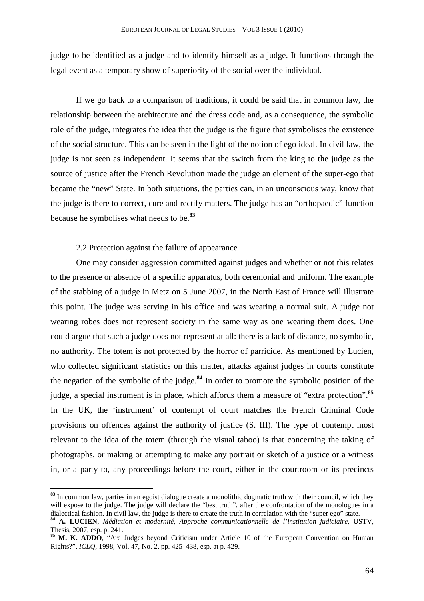judge to be identified as a judge and to identify himself as a judge. It functions through the legal event as a temporary show of superiority of the social over the individual.

If we go back to a comparison of traditions, it could be said that in common law, the relationship between the architecture and the dress code and, as a consequence, the symbolic role of the judge, integrates the idea that the judge is the figure that symbolises the existence of the social structure. This can be seen in the light of the notion of ego ideal. In civil law, the judge is not seen as independent. It seems that the switch from the king to the judge as the source of justice after the French Revolution made the judge an element of the super-ego that became the "new" State. In both situations, the parties can, in an unconscious way, know that the judge is there to correct, cure and rectify matters. The judge has an "orthopaedic" function because he symbolises what needs to be.**<sup>83</sup>**

## 2.2 Protection against the failure of appearance

 $\overline{a}$ 

One may consider aggression committed against judges and whether or not this relates to the presence or absence of a specific apparatus, both ceremonial and uniform. The example of the stabbing of a judge in Metz on 5 June 2007, in the North East of France will illustrate this point. The judge was serving in his office and was wearing a normal suit. A judge not wearing robes does not represent society in the same way as one wearing them does. One could argue that such a judge does not represent at all: there is a lack of distance, no symbolic, no authority. The totem is not protected by the horror of parricide. As mentioned by Lucien, who collected significant statistics on this matter, attacks against judges in courts constitute the negation of the symbolic of the judge.**<sup>84</sup>** In order to promote the symbolic position of the judge, a special instrument is in place, which affords them a measure of "extra protection".**<sup>85</sup>** In the UK, the 'instrument' of contempt of court matches the French Criminal Code provisions on offences against the authority of justice (S. III). The type of contempt most relevant to the idea of the totem (through the visual taboo) is that concerning the taking of photographs, or making or attempting to make any portrait or sketch of a justice or a witness in, or a party to, any proceedings before the court, either in the courtroom or its precincts

**<sup>83</sup>** In common law, parties in an egoist dialogue create a monolithic dogmatic truth with their council, which they will expose to the judge. The judge will declare the "best truth", after the confrontation of the monologues in a dialectical fashion. In civil law, the judge is there to create the truth in correlation with the "super ego" state.

**<sup>84</sup> A. LUCIEN**, *Médiation et modernité, Approche communicationnelle de l'institution judiciaire*, USTV, Thesis, 2007, esp. p. 241.

**<sup>85</sup> M. K. ADDO**, "Are Judges beyond Criticism under Article 10 of the European Convention on Human Rights?", *ICLQ*, 1998, Vol. 47, No. 2, pp. 425–438, esp. at p. 429.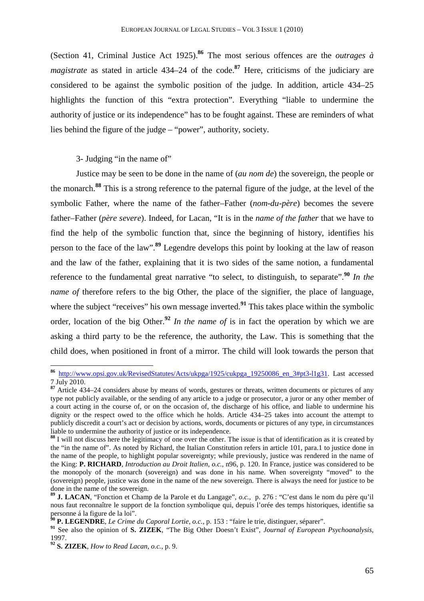(Section 41, Criminal Justice Act 1925).**<sup>86</sup>** The most serious offences are the *outrages à magistrate* as stated in article 434–24 of the code.<sup>87</sup> Here, criticisms of the judiciary are considered to be against the symbolic position of the judge. In addition, article 434–25 highlights the function of this "extra protection". Everything "liable to undermine the authority of justice or its independence" has to be fought against. These are reminders of what lies behind the figure of the judge – "power", authority, society.

3- Judging "in the name of"

Justice may be seen to be done in the name of (*au nom de*) the sovereign, the people or the monarch.**<sup>88</sup>** This is a strong reference to the paternal figure of the judge, at the level of the symbolic Father, where the name of the father–Father (*nom-du-père*) becomes the severe father–Father (*père severe*). Indeed, for Lacan, "It is in the *name of the father* that we have to find the help of the symbolic function that, since the beginning of history, identifies his person to the face of the law".**<sup>89</sup>** Legendre develops this point by looking at the law of reason and the law of the father, explaining that it is two sides of the same notion, a fundamental reference to the fundamental great narrative "to select, to distinguish, to separate".**<sup>90</sup>** *In the name of* therefore refers to the big Other, the place of the signifier, the place of language, where the subject "receives" his own message inverted.<sup>91</sup> This takes place within the symbolic order, location of the big Other.**<sup>92</sup>** *In the name of* is in fact the operation by which we are asking a third party to be the reference, the authority, the Law. This is something that the child does, when positioned in front of a mirror. The child will look towards the person that

**<sup>86</sup>** http://www.opsi.gov.uk/RevisedStatutes/Acts/ukpga/1925/cukpga\_19250086\_en\_3#pt3-l1g31. Last accessed 7 July 2010.

**<sup>87</sup>** Article 434–24 considers abuse by means of words, gestures or threats, written documents or pictures of any type not publicly available, or the sending of any article to a judge or prosecutor, a juror or any other member of a court acting in the course of, or on the occasion of, the discharge of his office, and liable to undermine his dignity or the respect owed to the office which he holds. Article 434–25 takes into account the attempt to publicly discredit a court's act or decision by actions, words, documents or pictures of any type, in circumstances liable to undermine the authority of justice or its independence.

**<sup>88</sup>** I will not discuss here the legitimacy of one over the other. The issue is that of identification as it is created by the "in the name of". As noted by Richard, the Italian Constitution refers in article 101, para.1 to justice done in the name of the people, to highlight popular sovereignty; while previously, justice was rendered in the name of the King: **P. RICHARD**, *Introduction au Droit Italien*, *o.c.,* n96, p. 120. In France, justice was considered to be the monopoly of the monarch (sovereign) and was done in his name. When sovereignty "moved" to the (sovereign) people, justice was done in the name of the new sovereign. There is always the need for justice to be done in the name of the sovereign.

**<sup>89</sup> J. LACAN**, "Fonction et Champ de la Parole et du Langage", *o.c.*, p. 276 : "C'est dans le nom du père qu'il nous faut reconnaître le support de la fonction symbolique qui, depuis l'orée des temps historiques, identifie sa personne á la figure de la loi".

**<sup>90</sup> P. LEGENDRE**, *Le Crime du Caporal Lortie*, *o.c.*, p. 153 : "faire le trie, distinguer, séparer".

**<sup>91</sup>** See also the opinion of **S. ZIZEK**, "The Big Other Doesn't Exist", *Journal of European Psychoanalysis*, 1997.

**<sup>92</sup> S. ZIZEK**, *How to Read Lacan*, *o.c.*, p. 9.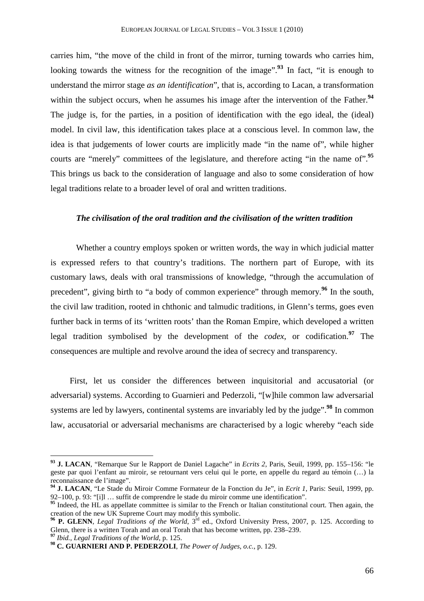carries him, "the move of the child in front of the mirror, turning towards who carries him, looking towards the witness for the recognition of the image".<sup>93</sup> In fact, "it is enough to understand the mirror stage *as an identification*", that is, according to Lacan, a transformation within the subject occurs, when he assumes his image after the intervention of the Father.<sup>94</sup> The judge is, for the parties, in a position of identification with the ego ideal, the (ideal) model. In civil law, this identification takes place at a conscious level. In common law, the idea is that judgements of lower courts are implicitly made "in the name of", while higher courts are "merely" committees of the legislature, and therefore acting "in the name of".**<sup>95</sup>** This brings us back to the consideration of language and also to some consideration of how legal traditions relate to a broader level of oral and written traditions.

#### *The civilisation of the oral tradition and the civilisation of the written tradition*

Whether a country employs spoken or written words, the way in which judicial matter is expressed refers to that country's traditions. The northern part of Europe, with its customary laws, deals with oral transmissions of knowledge, "through the accumulation of precedent", giving birth to "a body of common experience" through memory.**<sup>96</sup>** In the south, the civil law tradition, rooted in chthonic and talmudic traditions, in Glenn's terms, goes even further back in terms of its 'written roots' than the Roman Empire, which developed a written legal tradition symbolised by the development of the *codex*, or codification.**<sup>97</sup>** The consequences are multiple and revolve around the idea of secrecy and transparency.

First, let us consider the differences between inquisitorial and accusatorial (or adversarial) systems. According to Guarnieri and Pederzoli, "[w]hile common law adversarial systems are led by lawyers, continental systems are invariably led by the judge".**<sup>98</sup>** In common law, accusatorial or adversarial mechanisms are characterised by a logic whereby "each side

**<sup>93</sup> J. LACAN**, "Remarque Sur le Rapport de Daniel Lagache" in *Ecrits 2*, Paris, Seuil, 1999, pp. 155–156: "le geste par quoi l'enfant au miroir, se retournant vers celui qui le porte, en appelle du regard au témoin (…) la reconnaissance de l'image".

**<sup>94</sup> J. LACAN**, "Le Stade du Miroir Comme Formateur de la Fonction du Je", in *Ecrit 1*, Paris: Seuil, 1999, pp. 92–100, p. 93: "[i]l … suffit de comprendre le stade du miroir comme une identification".

<sup>&</sup>lt;sup>95</sup> Indeed, the HL as appellate committee is similar to the French or Italian constitutional court. Then again, the creation of the new UK Supreme Court may modify this symbolic.

<sup>&</sup>lt;sup>96</sup> P. GLENN, *Legal Traditions of the World*, 3<sup>rd</sup> ed., Oxford University Press, 2007, p. 125. According to Glenn, there is a written Torah and an oral Torah that has become written, pp. 238–239.

**<sup>97</sup>** *Ibid.*, *Legal Traditions of the World*, p. 125.

**<sup>98</sup> C. GUARNIERI AND P. PEDERZOLI**, *The Power of Judges*, *o.c.*, p. 129.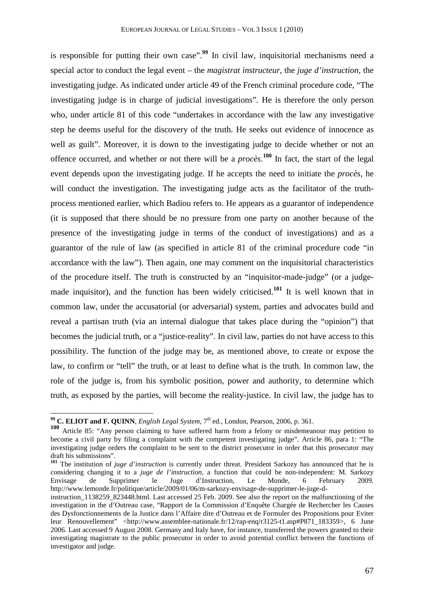is responsible for putting their own case".<sup>99</sup> In civil law, inquisitorial mechanisms need a special actor to conduct the legal event – the *magistrat instructeur*, the *juge d'instruction*, the investigating judge. As indicated under article 49 of the French criminal procedure code, "The investigating judge is in charge of judicial investigations". He is therefore the only person who, under article 81 of this code "undertakes in accordance with the law any investigative step he deems useful for the discovery of the truth. He seeks out evidence of innocence as well as guilt". Moreover, it is down to the investigating judge to decide whether or not an offence occurred, and whether or not there will be a *procès*. **<sup>100</sup>** In fact, the start of the legal event depends upon the investigating judge. If he accepts the need to initiate the *procès*, he will conduct the investigation. The investigating judge acts as the facilitator of the truthprocess mentioned earlier, which Badiou refers to. He appears as a guarantor of independence (it is supposed that there should be no pressure from one party on another because of the presence of the investigating judge in terms of the conduct of investigations) and as a guarantor of the rule of law (as specified in article 81 of the criminal procedure code "in accordance with the law"). Then again, one may comment on the inquisitorial characteristics of the procedure itself. The truth is constructed by an "inquisitor-made-judge" (or a judgemade inquisitor), and the function has been widely criticised.**<sup>101</sup>** It is well known that in common law, under the accusatorial (or adversarial) system, parties and advocates build and reveal a partisan truth (via an internal dialogue that takes place during the "opinion") that becomes the judicial truth, or a "justice-reality". In civil law, parties do not have access to this possibility. The function of the judge may be, as mentioned above, to create or expose the law, to confirm or "tell" the truth, or at least to define what is the truth. In common law, the role of the judge is, from his symbolic position, power and authority, to determine which truth, as exposed by the parties, will become the reality-justice. In civil law, the judge has to

**<sup>99</sup> C. ELIOT and F. QUINN**, *English Legal System*, 7th ed., London, Pearson, 2006, p. 361.

<sup>100&</sup>lt;sup></sup> Article 85: "Any person claiming to have suffered harm from a felony or misdemeanour may petition to become a civil party by filing a complaint with the competent investigating judge". Article 86, para 1: "The investigating judge orders the complaint to be sent to the district prosecutor in order that this prosecutor may draft his submissions".

**<sup>101</sup>** The institution of *juge d'instruction* is currently under threat. President Sarkozy has announced that he is considering changing it to a *juge de l'instruction*, a function that could be non-independent: M. Sarkozy Envisage de Supprimer le Juge d'Instruction, Le Monde, 6 February 2009. http://www.lemonde.fr/politique/article/2009/01/06/m-sarkozy-envisage-de-supprimer-le-juge-d-

instruction 1138259 823448.html. Last accessed 25 Feb. 2009. See also the report on the malfunctioning of the investigation in the d'Outreau case, "Rapport de la Commission d'Enquête Chargée de Rechercher les Causes des Dysfonctionnements de la Justice dans l'Affaire dite d'Outreau et de Formuler des Propositions pour Eviter leur Renouvellement" <http://www.assemblee-nationale.fr/12/rap-enq/r3125-t1.asp#P871\_183359>, 6 June 2006. Last accessed 9 August 2008. Germany and Italy have, for instance, transferred the powers granted to their investigating magistrate to the public prosecutor in order to avoid potential conflict between the functions of investigator and judge.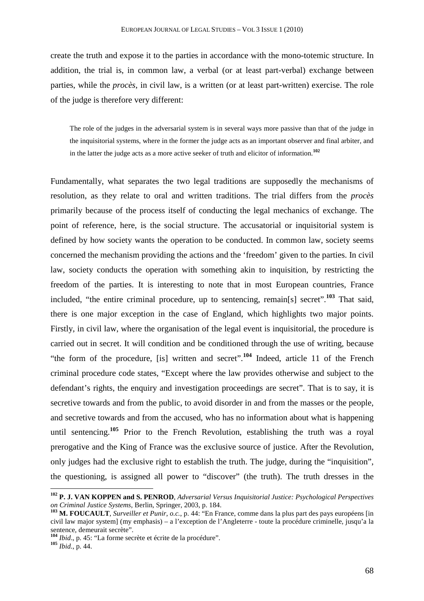create the truth and expose it to the parties in accordance with the mono-totemic structure. In addition, the trial is, in common law, a verbal (or at least part-verbal) exchange between parties, while the *procès*, in civil law, is a written (or at least part-written) exercise. The role of the judge is therefore very different:

The role of the judges in the adversarial system is in several ways more passive than that of the judge in the inquisitorial systems, where in the former the judge acts as an important observer and final arbiter, and in the latter the judge acts as a more active seeker of truth and elicitor of information.**<sup>102</sup>**

Fundamentally, what separates the two legal traditions are supposedly the mechanisms of resolution, as they relate to oral and written traditions. The trial differs from the *procès*  primarily because of the process itself of conducting the legal mechanics of exchange. The point of reference, here, is the social structure. The accusatorial or inquisitorial system is defined by how society wants the operation to be conducted. In common law, society seems concerned the mechanism providing the actions and the 'freedom' given to the parties. In civil law, society conducts the operation with something akin to inquisition, by restricting the freedom of the parties. It is interesting to note that in most European countries, France included, "the entire criminal procedure, up to sentencing, remain[s] secret".**<sup>103</sup>** That said, there is one major exception in the case of England, which highlights two major points. Firstly, in civil law, where the organisation of the legal event is inquisitorial, the procedure is carried out in secret. It will condition and be conditioned through the use of writing, because "the form of the procedure, [is] written and secret".**<sup>104</sup>** Indeed, article 11 of the French criminal procedure code states, "Except where the law provides otherwise and subject to the defendant's rights, the enquiry and investigation proceedings are secret". That is to say, it is secretive towards and from the public, to avoid disorder in and from the masses or the people, and secretive towards and from the accused, who has no information about what is happening until sentencing.**<sup>105</sup>** Prior to the French Revolution, establishing the truth was a royal prerogative and the King of France was the exclusive source of justice. After the Revolution, only judges had the exclusive right to establish the truth. The judge, during the "inquisition", the questioning, is assigned all power to "discover" (the truth). The truth dresses in the

**<sup>102</sup> P. J. VAN KOPPEN and S. PENROD**, *Adversarial Versus Inquisitorial Justice: Psychological Perspectives on Criminal Justice Systems*, Berlin, Springer, 2003, p. 184.

**<sup>103</sup> M. FOUCAULT**, *Surveiller et Punir*, *o.c.*, p. 44: "En France, comme dans la plus part des pays européens [in civil law major system] (my emphasis) – a l'exception de l'Angleterre - toute la procédure criminelle, jusqu'a la sentence, demeurait secrète".

**<sup>104</sup>** *Ibid*., p. 45: "La forme secrète et écrite de la procédure".

**<sup>105</sup>** *Ibid.*, p. 44.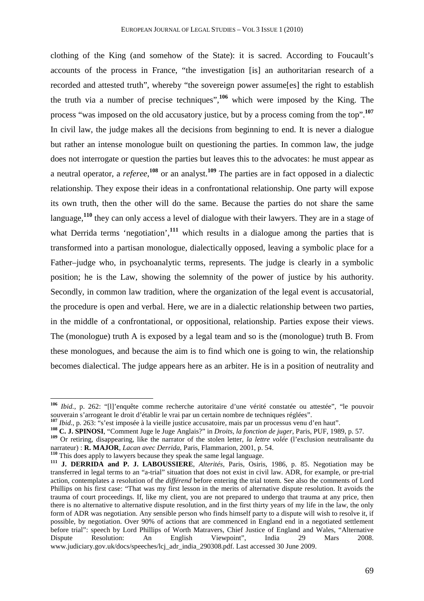clothing of the King (and somehow of the State): it is sacred. According to Foucault's accounts of the process in France, "the investigation [is] an authoritarian research of a recorded and attested truth", whereby "the sovereign power assume[es] the right to establish the truth via a number of precise techniques",**<sup>106</sup>** which were imposed by the King. The process "was imposed on the old accusatory justice, but by a process coming from the top".**<sup>107</sup>** In civil law, the judge makes all the decisions from beginning to end. It is never a dialogue but rather an intense monologue built on questioning the parties. In common law*,* the judge does not interrogate or question the parties but leaves this to the advocates: he must appear as a neutral operator, a *referee*,<sup>108</sup> or an analyst.<sup>109</sup> The parties are in fact opposed in a dialectic relationship. They expose their ideas in a confrontational relationship. One party will expose its own truth, then the other will do the same. Because the parties do not share the same language,**<sup>110</sup>** they can only access a level of dialogue with their lawyers. They are in a stage of what Derrida terms 'negotiation',<sup>111</sup> which results in a dialogue among the parties that is transformed into a partisan monologue, dialectically opposed, leaving a symbolic place for a Father–judge who, in psychoanalytic terms, represents. The judge is clearly in a symbolic position; he is the Law, showing the solemnity of the power of justice by his authority. Secondly, in common law tradition, where the organization of the legal event is accusatorial, the procedure is open and verbal. Here, we are in a dialectic relationship between two parties, in the middle of a confrontational, or oppositional, relationship. Parties expose their views. The (monologue) truth A is exposed by a legal team and so is the (monologue) truth B. From these monologues, and because the aim is to find which one is going to win, the relationship becomes dialectical. The judge appears here as an arbiter. He is in a position of neutrality and

**<sup>106</sup>** *Ibid.*, p. 262: "[l]'enquête comme recherche autoritaire d'une vérité constatée ou attestée", "le pouvoir souverain s'arrogeant le droit d'établir le vrai par un certain nombre de techniques réglées".

**<sup>107</sup>** *Ibid.*, p. 263: "s'est imposée à la vieille justice accusatoire, mais par un processus venu d'en haut".

**<sup>108</sup> C. J. SPINOSI**, "Comment Juge le Juge Anglais?" in *Droits, la fonction de juger*, Paris, PUF, 1989, p. 57.

**<sup>109</sup>** Or retiring, disappearing, like the narrator of the stolen letter, *la lettre volée* (l'exclusion neutralisante du narrateur) : **R. MAJOR**, *Lacan avec Derrida*, Paris, Flammarion, 2001, p. 54.

**<sup>110</sup>** This does apply to lawyers because they speak the same legal language.

**<sup>111</sup> J. DERRIDA and P. J. LABOUSSIERE**, *Alterités*, Paris, Osiris, 1986, p. 85. Negotiation may be transferred in legal terms to an "a-trial" situation that does not exist in civil law. ADR, for example, or pre-trial action, contemplates a resolution of the *différend* before entering the trial totem. See also the comments of Lord Phillips on his first case: "That was my first lesson in the merits of alternative dispute resolution. It avoids the trauma of court proceedings. If, like my client, you are not prepared to undergo that trauma at any price, then there is no alternative to alternative dispute resolution, and in the first thirty years of my life in the law, the only form of ADR was negotiation. Any sensible person who finds himself party to a dispute will wish to resolve it, if possible, by negotiation. Over 90% of actions that are commenced in England end in a negotiated settlement before trial": speech by Lord Phillips of Worth Matravers, Chief Justice of England and Wales, "Alternative Dispute Resolution: An English Viewpoint", India 29 Mars 2008. Dispute Resolution: An English Viewpoint", India 29 Mars 2008. www.judiciary.gov.uk/docs/speeches/lcj\_adr\_india\_290308.pdf. Last accessed 30 June 2009.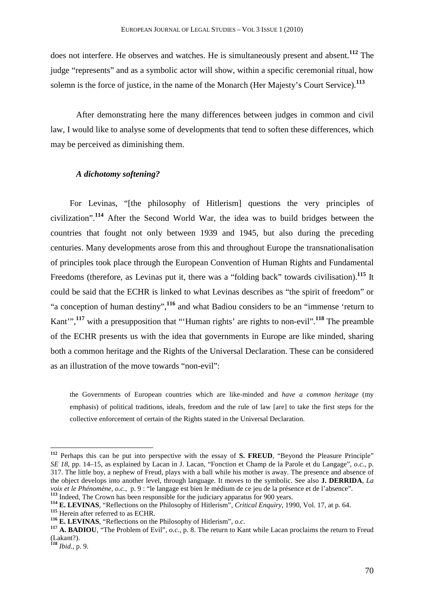does not interfere. He observes and watches. He is simultaneously present and absent.**<sup>112</sup>** The judge "represents" and as a symbolic actor will show, within a specific ceremonial ritual, how solemn is the force of justice, in the name of the Monarch (Her Majesty's Court Service).**<sup>113</sup>**

After demonstrating here the many differences between judges in common and civil law, I would like to analyse some of developments that tend to soften these differences, which may be perceived as diminishing them.

## *A dichotomy softening?*

For Levinas, "[the philosophy of Hitlerism] questions the very principles of civilization".**<sup>114</sup>** After the Second World War, the idea was to build bridges between the countries that fought not only between 1939 and 1945, but also during the preceding centuries. Many developments arose from this and throughout Europe the transnationalisation of principles took place through the European Convention of Human Rights and Fundamental Freedoms (therefore, as Levinas put it, there was a "folding back" towards civilisation).**<sup>115</sup>** It could be said that the ECHR is linked to what Levinas describes as "the spirit of freedom" or "a conception of human destiny",**<sup>116</sup>** and what Badiou considers to be an "immense 'return to Kant'",**<sup>117</sup>** with a presupposition that "'Human rights' are rights to non-evil".**<sup>118</sup>** The preamble of the ECHR presents us with the idea that governments in Europe are like minded, sharing both a common heritage and the Rights of the Universal Declaration. These can be considered as an illustration of the move towards "non-evil":

the Governments of European countries which are like-minded and *have a common heritage* (my emphasis) of political traditions, ideals, freedom and the rule of law [are] to take the first steps for the collective enforcement of certain of the Rights stated in the Universal Declaration.

**<sup>112</sup>** Perhaps this can be put into perspective with the essay of **S. FREUD**, "Beyond the Pleasure Principle" *SE 18*, pp. 14–15, as explained by Lacan in J. Lacan, "Fonction et Champ de la Parole et du Langage", *o.c.*, p. 317. The little boy, a nephew of Freud, plays with a ball while his mother is away. The presence and absence of the object develops into another level, through language. It moves to the symbolic. See also **J. DERRIDA**, *La voix et le Phénomène*, *o.c.*, p. 9 : "le langage est bien le médium de ce jeu de la présence et de l'absence". <sup>113</sup> Indeed, The Crown has been responsible for the judiciary apparatus for 900 years.

**<sup>114</sup> E. LEVINAS**, "Reflections on the Philosophy of Hitlerism", *Critical Enquiry*, 1990, Vol. 17, at p. 64.

**<sup>115</sup>** Herein after referred to as ECHR.

**<sup>116</sup> E. LEVINAS**, "Reflections on the Philosophy of Hitlerism", *o.c*.

**<sup>117</sup> A. BADIOU**, "The Problem of Evil", *o.c.*, p. 8. The return to Kant while Lacan proclaims the return to Freud (Lakant?).

**<sup>118</sup>** *Ibid.*, p. 9.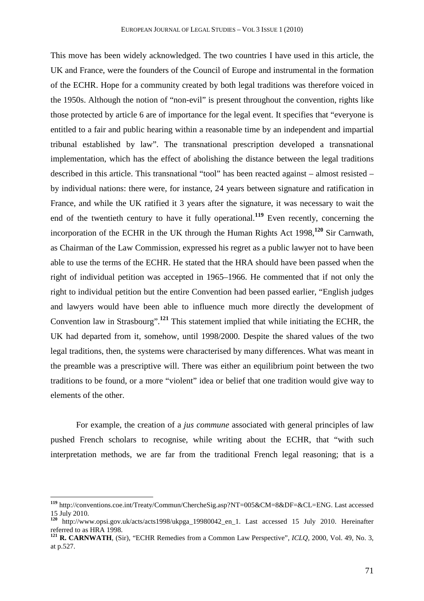This move has been widely acknowledged. The two countries I have used in this article, the UK and France, were the founders of the Council of Europe and instrumental in the formation of the ECHR. Hope for a community created by both legal traditions was therefore voiced in the 1950s. Although the notion of "non-evil" is present throughout the convention, rights like those protected by article 6 are of importance for the legal event. It specifies that "everyone is entitled to a fair and public hearing within a reasonable time by an independent and impartial tribunal established by law". The transnational prescription developed a transnational implementation, which has the effect of abolishing the distance between the legal traditions described in this article. This transnational "tool" has been reacted against – almost resisted – by individual nations: there were, for instance, 24 years between signature and ratification in France, and while the UK ratified it 3 years after the signature, it was necessary to wait the end of the twentieth century to have it fully operational.**<sup>119</sup>** Even recently, concerning the incorporation of the ECHR in the UK through the Human Rights Act 1998,**<sup>120</sup>** Sir Carnwath, as Chairman of the Law Commission, expressed his regret as a public lawyer not to have been able to use the terms of the ECHR. He stated that the HRA should have been passed when the right of individual petition was accepted in 1965–1966. He commented that if not only the right to individual petition but the entire Convention had been passed earlier, "English judges and lawyers would have been able to influence much more directly the development of Convention law in Strasbourg".**<sup>121</sup>** This statement implied that while initiating the ECHR, the UK had departed from it, somehow, until 1998/2000. Despite the shared values of the two legal traditions, then, the systems were characterised by many differences. What was meant in the preamble was a prescriptive will. There was either an equilibrium point between the two traditions to be found, or a more "violent" idea or belief that one tradition would give way to elements of the other.

For example, the creation of a *jus commune* associated with general principles of law pushed French scholars to recognise, while writing about the ECHR, that "with such interpretation methods, we are far from the traditional French legal reasoning; that is a

**<sup>119</sup>** http://conventions.coe.int/Treaty/Commun/ChercheSig.asp?NT=005&CM=8&DF=&CL=ENG. Last accessed 15 July 2010.

**<sup>120</sup>** http://www.opsi.gov.uk/acts/acts1998/ukpga\_19980042\_en\_1. Last accessed 15 July 2010. Hereinafter referred to as HRA 1998.

**<sup>121</sup> R. CARNWATH**, (Sir), "ECHR Remedies from a Common Law Perspective", *ICLQ,* 2000, Vol. 49, No. 3, at p.527.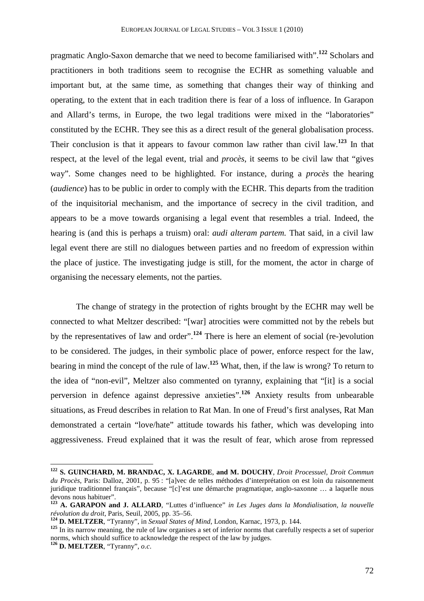pragmatic Anglo-Saxon demarche that we need to become familiarised with".**<sup>122</sup>** Scholars and practitioners in both traditions seem to recognise the ECHR as something valuable and important but, at the same time, as something that changes their way of thinking and operating, to the extent that in each tradition there is fear of a loss of influence. In Garapon and Allard's terms, in Europe, the two legal traditions were mixed in the "laboratories" constituted by the ECHR. They see this as a direct result of the general globalisation process. Their conclusion is that it appears to favour common law rather than civil law.**<sup>123</sup>** In that respect, at the level of the legal event, trial and *procès*, it seems to be civil law that "gives way". Some changes need to be highlighted. For instance, during a *procès* the hearing (*audience*) has to be public in order to comply with the ECHR. This departs from the tradition of the inquisitorial mechanism, and the importance of secrecy in the civil tradition, and appears to be a move towards organising a legal event that resembles a trial. Indeed, the hearing is (and this is perhaps a truism) oral: *audi alteram partem.* That said, in a civil law legal event there are still no dialogues between parties and no freedom of expression within the place of justice. The investigating judge is still, for the moment, the actor in charge of organising the necessary elements, not the parties.

The change of strategy in the protection of rights brought by the ECHR may well be connected to what Meltzer described: "[war] atrocities were committed not by the rebels but by the representatives of law and order".**<sup>124</sup>** There is here an element of social (re-)evolution to be considered. The judges, in their symbolic place of power, enforce respect for the law, bearing in mind the concept of the rule of law.**<sup>125</sup>** What, then, if the law is wrong? To return to the idea of "non-evil", Meltzer also commented on tyranny, explaining that "[it] is a social perversion in defence against depressive anxieties". **<sup>126</sup>** Anxiety results from unbearable situations, as Freud describes in relation to Rat Man. In one of Freud's first analyses, Rat Man demonstrated a certain "love/hate" attitude towards his father, which was developing into aggressiveness. Freud explained that it was the result of fear, which arose from repressed

**<sup>122</sup> S. GUINCHARD, M. BRANDAC, X. LAGARDE**, **and M. DOUCHY**, *Droit Processuel, Droit Commun du Procès*, Paris: Dalloz, 2001, p. 95 : "[a]vec de telles méthodes d'interprétation on est loin du raisonnement juridique traditionnel français", because "[c]'est une démarche pragmatique, anglo-saxonne … a laquelle nous devons nous habituer".

**<sup>123</sup> A. GARAPON and J. ALLARD**, "Luttes d'influence" *in Les Juges dans la Mondialisation, la nouvelle révolution du droit*, Paris, Seuil, 2005, pp. 35–56.

**<sup>124</sup> D. MELTZER**, "Tyranny", in *Sexual States of Mind*, London, Karnac, 1973, p. 144.

**<sup>125</sup>** In its narrow meaning, the rule of law organises a set of inferior norms that carefully respects a set of superior norms, which should suffice to acknowledge the respect of the law by judges.

**<sup>126</sup> D. MELTZER**, "Tyranny", *o.c*.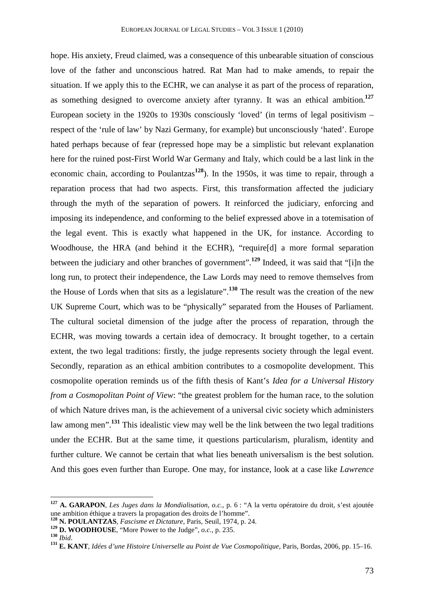hope. His anxiety, Freud claimed, was a consequence of this unbearable situation of conscious love of the father and unconscious hatred. Rat Man had to make amends, to repair the situation. If we apply this to the ECHR, we can analyse it as part of the process of reparation, as something designed to overcome anxiety after tyranny. It was an ethical ambition.**<sup>127</sup>** European society in the 1920s to 1930s consciously 'loved' (in terms of legal positivism – respect of the 'rule of law' by Nazi Germany, for example) but unconsciously 'hated'. Europe hated perhaps because of fear (repressed hope may be a simplistic but relevant explanation here for the ruined post-First World War Germany and Italy, which could be a last link in the economic chain, according to Poulantzas**<sup>128</sup>**). In the 1950s, it was time to repair, through a reparation process that had two aspects. First, this transformation affected the judiciary through the myth of the separation of powers. It reinforced the judiciary, enforcing and imposing its independence, and conforming to the belief expressed above in a totemisation of the legal event. This is exactly what happened in the UK, for instance. According to Woodhouse, the HRA (and behind it the ECHR), "require[d] a more formal separation between the judiciary and other branches of government".**<sup>129</sup>** Indeed, it was said that "[i]n the long run, to protect their independence, the Law Lords may need to remove themselves from the House of Lords when that sits as a legislature". **<sup>130</sup>** The result was the creation of the new UK Supreme Court, which was to be "physically" separated from the Houses of Parliament. The cultural societal dimension of the judge after the process of reparation, through the ECHR, was moving towards a certain idea of democracy. It brought together, to a certain extent, the two legal traditions: firstly, the judge represents society through the legal event. Secondly, reparation as an ethical ambition contributes to a cosmopolite development. This cosmopolite operation reminds us of the fifth thesis of Kant's *Idea for a Universal History from a Cosmopolitan Point of View*: "the greatest problem for the human race, to the solution of which Nature drives man, is the achievement of a universal civic society which administers law among men".**<sup>131</sup>** This idealistic view may well be the link between the two legal traditions under the ECHR. But at the same time, it questions particularism, pluralism, identity and further culture. We cannot be certain that what lies beneath universalism is the best solution. And this goes even further than Europe. One may, for instance, look at a case like *Lawrence* 

**<sup>127</sup> A. GARAPON**, *Les Juges dans la Mondialisation*, *o.c.*, p. 6 : "A la vertu opératoire du droit, s'est ajoutée une ambition éthique a travers la propagation des droits de l'homme".

**<sup>128</sup> N. POULANTZAS**, *Fascisme et Dictature*, Paris, Seuil, 1974, p. 24.

**<sup>129</sup> D. WOODHOUSE**, "More Power to the Judge", *o.c.*, p. 235.

**<sup>130</sup>** *Ibid*.

**<sup>131</sup> E. KANT**, *Idées d'une Histoire Universelle au Point de Vue Cosmopolitique*, Paris, Bordas, 2006, pp. 15–16.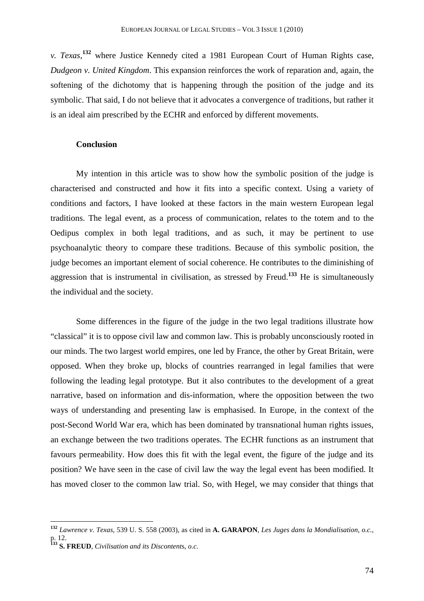*v. Texas*, **<sup>132</sup>** where Justice Kennedy cited a 1981 European Court of Human Rights case, *Dudgeon v. United Kingdom*. This expansion reinforces the work of reparation and, again, the softening of the dichotomy that is happening through the position of the judge and its symbolic. That said, I do not believe that it advocates a convergence of traditions, but rather it is an ideal aim prescribed by the ECHR and enforced by different movements.

## **Conclusion**

My intention in this article was to show how the symbolic position of the judge is characterised and constructed and how it fits into a specific context. Using a variety of conditions and factors, I have looked at these factors in the main western European legal traditions. The legal event, as a process of communication, relates to the totem and to the Oedipus complex in both legal traditions, and as such, it may be pertinent to use psychoanalytic theory to compare these traditions. Because of this symbolic position, the judge becomes an important element of social coherence. He contributes to the diminishing of aggression that is instrumental in civilisation, as stressed by Freud.**<sup>133</sup>** He is simultaneously the individual and the society.

Some differences in the figure of the judge in the two legal traditions illustrate how "classical" it is to oppose civil law and common law. This is probably unconsciously rooted in our minds. The two largest world empires, one led by France, the other by Great Britain, were opposed. When they broke up, blocks of countries rearranged in legal families that were following the leading legal prototype. But it also contributes to the development of a great narrative, based on information and dis-information, where the opposition between the two ways of understanding and presenting law is emphasised. In Europe, in the context of the post-Second World War era, which has been dominated by transnational human rights issues, an exchange between the two traditions operates. The ECHR functions as an instrument that favours permeability. How does this fit with the legal event, the figure of the judge and its position? We have seen in the case of civil law the way the legal event has been modified. It has moved closer to the common law trial. So, with Hegel, we may consider that things that

**<sup>132</sup>** *Lawrence v. Texas*, 539 U. S. 558 (2003), as cited in **A. GARAPON**, *Les Juges dans la Mondialisation*, *o.c.*, p. 12.

**<sup>133</sup> S. FREUD**, *Civilisation and its Discontent*s, *o.c*.